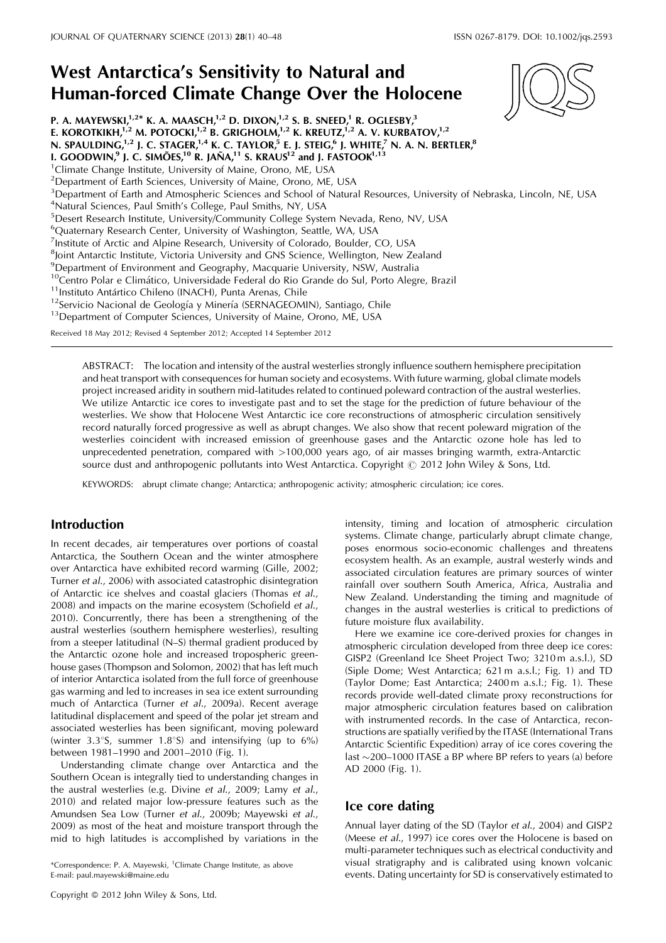# West Antarctica's Sensitivity to Natural and Human-forced Climate Change Over the Holocene

P. A. MAYEWSKI, $1,2^*$  K. A. MAASCH, $1,2$  D. DIXON, $1,2$  S. B. SNEED, $1$  R. OGLESBY, $3$ E. KOROTKIKH, $^{1,2}$  M. POTOCKI, $^{1,2}$  B. GRIGHOLM, $^{1,2}$  K. KREUTZ, $^{1,2}$  A. V. KURBATOV, $^{1,2}$ N. SPAULDING, $^{1,2}$  J. C. STAGER, $^{1,4}$  K. C. TAYLOR, $^5$  E. J. STEIG, $^6$  J. WHITE, $^7$  N. A. N. BERTLER, $^8$ I. GOODWIN,<sup>9</sup> J. C. SIMÕES,<sup>10</sup> R. JAÑA,<sup>11</sup> S. KRAUS<sup>12</sup> and J. FASTOOK<sup>1,13</sup> <sup>1</sup>Climate Change Institute, University of Maine, Orono, ME, USA <sup>2</sup>Department of Earth Sciences, University of Maine, Orono, ME, USA <sup>3</sup>Department of Earth and Atmospheric Sciences and School of Natural Resources, University of Nebraska, Lincoln, NE, USA <sup>4</sup>Natural Sciences, Paul Smith's College, Paul Smiths, NY, USA <sup>5</sup>Desert Research Institute, University/Community College System Nevada, Reno, NV, USA <sup>6</sup>Quaternary Research Center, University of Washington, Seattle, WA, USA <sup>7</sup>Institute of Arctic and Alpine Research, University of Colorado, Boulder, CO, USA <sup>8</sup>Joint Antarctic Institute, Victoria University and GNS Science, Wellington, New Zealand 9 Department of Environment and Geography, Macquarie University, NSW, Australia <sup>10</sup>Centro Polar e Climático, Universidade Federal do Rio Grande do Sul, Porto Alegre, Brazil<br><sup>11</sup>Instituto Antártico Chileno (INACH), Punta Arenas, Chile<br><sup>12</sup>Servicio Nacional de Geología y Minería (SERNAGEOMIN), Santiag Received 18 May 2012; Revised 4 September 2012; Accepted 14 September 2012

ABSTRACT: The location and intensity of the austral westerlies strongly influence southern hemisphere precipitation and heat transport with consequences for human society and ecosystems. With future warming, global climate models project increased aridity in southern mid-latitudes related to continued poleward contraction of the austral westerlies. We utilize Antarctic ice cores to investigate past and to set the stage for the prediction of future behaviour of the westerlies. We show that Holocene West Antarctic ice core reconstructions of atmospheric circulation sensitively record naturally forced progressive as well as abrupt changes. We also show that recent poleward migration of the westerlies coincident with increased emission of greenhouse gases and the Antarctic ozone hole has led to unprecedented penetration, compared with >100,000 years ago, of air masses bringing warmth, extra-Antarctic source dust and anthropogenic pollutants into West Antarctica. Copyright  $\odot$  2012 John Wiley & Sons, Ltd.

KEYWORDS: abrupt climate change; Antarctica; anthropogenic activity; atmospheric circulation; ice cores.

# Introduction

In recent decades, air temperatures over portions of coastal Antarctica, the Southern Ocean and the winter atmosphere over Antarctica have exhibited record warming (Gille, 2002; Turner et al., 2006) with associated catastrophic disintegration of Antarctic ice shelves and coastal glaciers (Thomas et al., 2008) and impacts on the marine ecosystem (Schofield et al., 2010). Concurrently, there has been a strengthening of the austral westerlies (southern hemisphere westerlies), resulting from a steeper latitudinal (N–S) thermal gradient produced by the Antarctic ozone hole and increased tropospheric greenhouse gases (Thompson and Solomon, 2002) that has left much of interior Antarctica isolated from the full force of greenhouse gas warming and led to increases in sea ice extent surrounding much of Antarctica (Turner et al., 2009a). Recent average latitudinal displacement and speed of the polar jet stream and associated westerlies has been significant, moving poleward (winter  $3.3^{\circ}$ S, summer  $1.8^{\circ}$ S) and intensifying (up to  $6\%$ ) between 1981–1990 and 2001–2010 (Fig. 1).

Understanding climate change over Antarctica and the Southern Ocean is integrally tied to understanding changes in the austral westerlies (e.g. Divine et al., 2009; Lamy et al., 2010) and related major low-pressure features such as the Amundsen Sea Low (Turner et al., 2009b; Mayewski et al., 2009) as most of the heat and moisture transport through the mid to high latitudes is accomplished by variations in the

\*Correspondence: P. A. Mayewski, <sup>1</sup>Climate Change Institute, as above E-mail: paul.mayewski@maine.edu

Copyright 2012 John Wiley & Sons, Ltd.

intensity, timing and location of atmospheric circulation systems. Climate change, particularly abrupt climate change, poses enormous socio-economic challenges and threatens ecosystem health. As an example, austral westerly winds and associated circulation features are primary sources of winter rainfall over southern South America, Africa, Australia and New Zealand. Understanding the timing and magnitude of changes in the austral westerlies is critical to predictions of future moisture flux availability.

Here we examine ice core-derived proxies for changes in atmospheric circulation developed from three deep ice cores: GISP2 (Greenland Ice Sheet Project Two; 3210 m a.s.l.), SD (Siple Dome; West Antarctica; 621 m a.s.l.; Fig. 1) and TD (Taylor Dome; East Antarctica; 2400 m a.s.l.; Fig. 1). These records provide well-dated climate proxy reconstructions for major atmospheric circulation features based on calibration with instrumented records. In the case of Antarctica, reconstructions are spatially verified by the ITASE (International Trans Antarctic Scientific Expedition) array of ice cores covering the last  $\sim$ 200–1000 ITASE a BP where BP refers to years (a) before AD 2000 (Fig. 1).

### Ice core dating

Annual layer dating of the SD (Taylor et al., 2004) and GISP2 (Meese et al., 1997) ice cores over the Holocene is based on multi-parameter techniques such as electrical conductivity and visual stratigraphy and is calibrated using known volcanic events. Dating uncertainty for SD is conservatively estimated to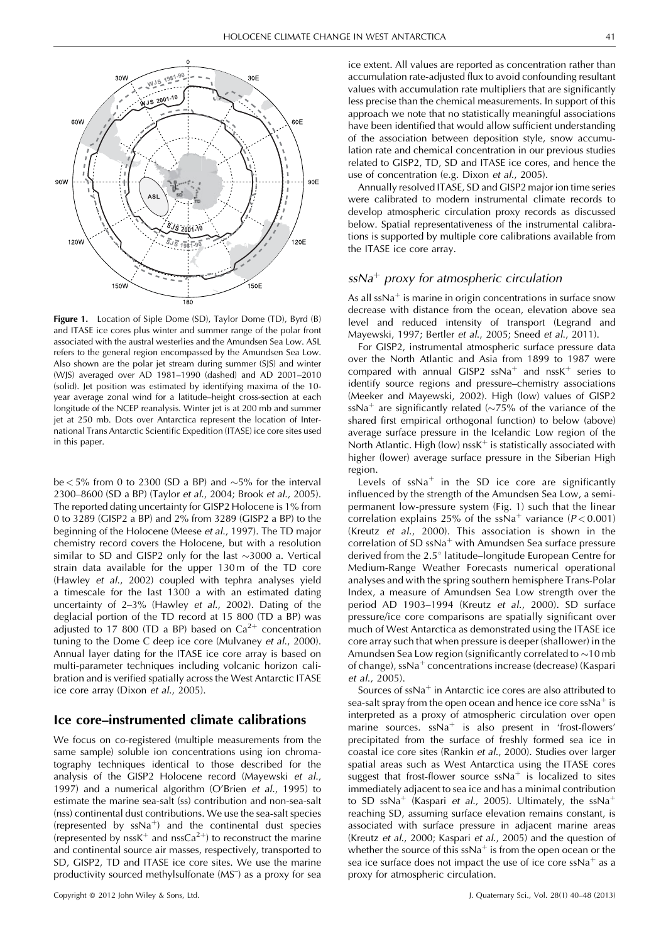

Figure 1. Location of Siple Dome (SD), Taylor Dome (TD), Byrd (B) and ITASE ice cores plus winter and summer range of the polar front associated with the austral westerlies and the Amundsen Sea Low. ASL refers to the general region encompassed by the Amundsen Sea Low. Also shown are the polar jet stream during summer (SJS) and winter (WJS) averaged over AD 1981–1990 (dashed) and AD 2001–2010 (solid). Jet position was estimated by identifying maxima of the 10 year average zonal wind for a latitude–height cross-section at each longitude of the NCEP reanalysis. Winter jet is at 200 mb and summer jet at 250 mb. Dots over Antarctica represent the location of International Trans Antarctic Scientific Expedition (ITASE) ice core sites used in this paper.

be  $<$  5% from 0 to 2300 (SD a BP) and  $\sim$  5% for the interval 2300–8600 (SD a BP) (Taylor et al., 2004; Brook et al., 2005). The reported dating uncertainty for GISP2 Holocene is 1% from 0 to 3289 (GISP2 a BP) and 2% from 3289 (GISP2 a BP) to the beginning of the Holocene (Meese et al., 1997). The TD major chemistry record covers the Holocene, but with a resolution similar to SD and GISP2 only for the last  $\sim$ 3000 a. Vertical strain data available for the upper 130 m of the TD core (Hawley et al., 2002) coupled with tephra analyses yield a timescale for the last 1300 a with an estimated dating uncertainty of 2–3% (Hawley et al., 2002). Dating of the deglacial portion of the TD record at 15 800 (TD a BP) was adjusted to 17 800 (TD a BP) based on  $Ca^{2+}$  concentration tuning to the Dome C deep ice core (Mulvaney et al., 2000). Annual layer dating for the ITASE ice core array is based on multi-parameter techniques including volcanic horizon calibration and is verified spatially across the West Antarctic ITASE ice core array (Dixon et al., 2005).

## Ice core–instrumented climate calibrations

We focus on co-registered (multiple measurements from the same sample) soluble ion concentrations using ion chromatography techniques identical to those described for the analysis of the GISP2 Holocene record (Mayewski et al., 1997) and a numerical algorithm (O'Brien et al., 1995) to estimate the marine sea-salt (ss) contribution and non-sea-salt (nss) continental dust contributions. We use the sea-salt species (represented by  $ssNa^{+}$ ) and the continental dust species (represented by nssK<sup>+</sup> and nssCa<sup>2+</sup>) to reconstruct the marine and continental source air masses, respectively, transported to SD, GISP2, TD and ITASE ice core sites. We use the marine productivity sourced methylsulfonate (MS<sup>-</sup>) as a proxy for sea

ice extent. All values are reported as concentration rather than accumulation rate-adjusted flux to avoid confounding resultant values with accumulation rate multipliers that are significantly less precise than the chemical measurements. In support of this approach we note that no statistically meaningful associations have been identified that would allow sufficient understanding of the association between deposition style, snow accumulation rate and chemical concentration in our previous studies related to GISP2, TD, SD and ITASE ice cores, and hence the use of concentration (e.g. Dixon et al., 2005).

Annually resolved ITASE, SD and GISP2 major ion time series were calibrated to modern instrumental climate records to develop atmospheric circulation proxy records as discussed below. Spatial representativeness of the instrumental calibrations is supported by multiple core calibrations available from the ITASE ice core array.

# $ssNa<sup>+</sup>$  proxy for atmospheric circulation

As all  $ssNa<sup>+</sup>$  is marine in origin concentrations in surface snow decrease with distance from the ocean, elevation above sea level and reduced intensity of transport (Legrand and Mayewski, 1997; Bertler et al., 2005; Sneed et al., 2011).

For GISP2, instrumental atmospheric surface pressure data over the North Atlantic and Asia from 1899 to 1987 were compared with annual GISP2  $ssNa^{+}$  and  $nssK^{+}$  series to identify source regions and pressure–chemistry associations (Meeker and Mayewski, 2002). High (low) values of GISP2 ssNa<sup>+</sup> are significantly related ( $\sim$ 75% of the variance of the shared first empirical orthogonal function) to below (above) average surface pressure in the Icelandic Low region of the North Atlantic. High (low)  $nssK^+$  is statistically associated with higher (lower) average surface pressure in the Siberian High region.

Levels of  $ssNa<sup>+</sup>$  in the SD ice core are significantly influenced by the strength of the Amundsen Sea Low, a semipermanent low-pressure system (Fig. 1) such that the linear correlation explains 25% of the ssNa<sup>+</sup> variance ( $P < 0.001$ ) (Kreutz et al., 2000). This association is shown in the correlation of SD  $ssNa<sup>+</sup>$  with Amundsen Sea surface pressure derived from the 2.5° latitude–longitude European Centre for Medium-Range Weather Forecasts numerical operational analyses and with the spring southern hemisphere Trans-Polar Index, a measure of Amundsen Sea Low strength over the period AD 1903–1994 (Kreutz et al., 2000). SD surface pressure/ice core comparisons are spatially significant over much of West Antarctica as demonstrated using the ITASE ice core array such that when pressure is deeper (shallower) in the Amundsen Sea Low region (significantly correlated to  $\sim$ 10 mb of change),  $ssNa<sup>+</sup>$  concentrations increase (decrease) (Kaspari et al., 2005).

Sources of  $ssNa<sup>+</sup>$  in Antarctic ice cores are also attributed to sea-salt spray from the open ocean and hence ice core ssNa<sup>+</sup> is interpreted as a proxy of atmospheric circulation over open marine sources.  $ssNa<sup>+</sup>$  is also present in 'frost-flowers' precipitated from the surface of freshly formed sea ice in coastal ice core sites (Rankin et al., 2000). Studies over larger spatial areas such as West Antarctica using the ITASE cores suggest that frost-flower source  $ssNa<sup>+</sup>$  is localized to sites immediately adjacent to sea ice and has a minimal contribution to SD ssNa<sup>+</sup> (Kaspari et al., 2005). Ultimately, the ssNa<sup>+</sup> reaching SD, assuming surface elevation remains constant, is associated with surface pressure in adjacent marine areas (Kreutz et al., 2000; Kaspari et al., 2005) and the question of whether the source of this  $ssNa<sup>+</sup>$  is from the open ocean or the sea ice surface does not impact the use of ice core  $ssNa<sup>+</sup>$  as a proxy for atmospheric circulation.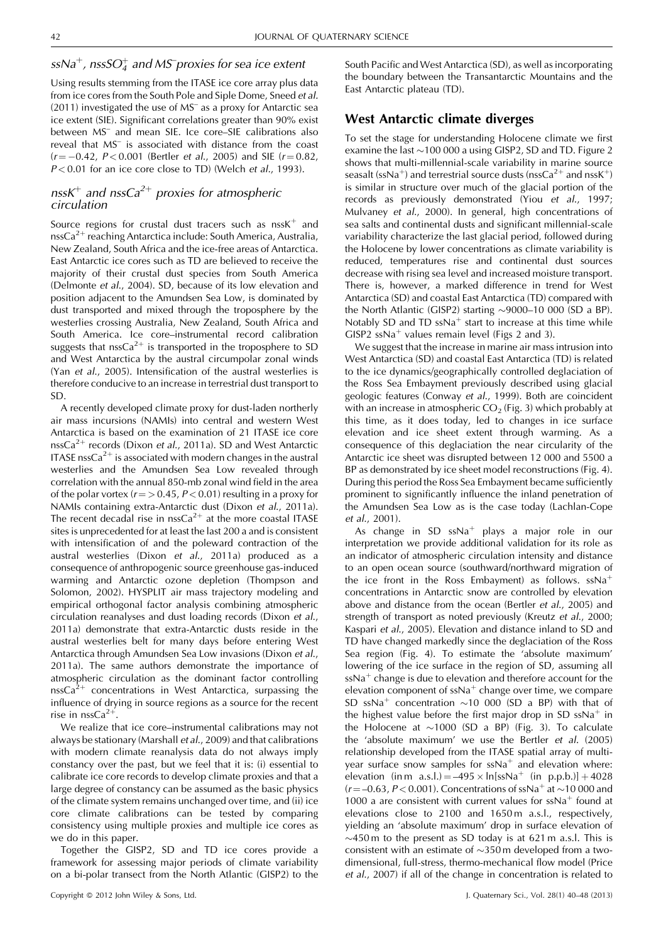# $ssNa^{+}$ , nss $SO_{4}^{+}$  and MS proxies for sea ice extent

Using results stemming from the ITASE ice core array plus data from ice cores from the South Pole and Siple Dome, Sneed et al. (2011) investigated the use of MS– as a proxy for Antarctic sea ice extent (SIE). Significant correlations greater than 90% exist between MS– and mean SIE. Ice core–SIE calibrations also reveal that MS– is associated with distance from the coast  $(r = -0.42, P < 0.001$  (Bertler *et al.*, 2005) and SIE ( $r = 0.82$ ,  $P < 0.01$  for an ice core close to TD) (Welch et al., 1993).

# nssK<sup>+</sup> and nssCa<sup>2+</sup> proxies for atmospheric circulation

Source regions for crustal dust tracers such as  $nssK^{+}$  and nss $Ca^{2+}$  reaching Antarctica include: South America, Australia, New Zealand, South Africa and the ice-free areas of Antarctica. East Antarctic ice cores such as TD are believed to receive the majority of their crustal dust species from South America (Delmonte et al., 2004). SD, because of its low elevation and position adjacent to the Amundsen Sea Low, is dominated by dust transported and mixed through the troposphere by the westerlies crossing Australia, New Zealand, South Africa and South America. Ice core–instrumental record calibration suggests that nss $Ca^{2+}$  is transported in the troposphere to SD and West Antarctica by the austral circumpolar zonal winds (Yan et al., 2005). Intensification of the austral westerlies is therefore conducive to an increase in terrestrial dust transport to SD.

A recently developed climate proxy for dust-laden northerly air mass incursions (NAMIs) into central and western West Antarctica is based on the examination of 21 ITASE ice core nssCa<sup>2+</sup> records (Dixon et al., 2011a). SD and West Antarctic ITASE nss $Ca^{2+}$  is associated with modern changes in the austral westerlies and the Amundsen Sea Low revealed through correlation with the annual 850-mb zonal wind field in the area of the polar vortex ( $r = > 0.45$ ,  $P < 0.01$ ) resulting in a proxy for NAMIs containing extra-Antarctic dust (Dixon et al., 2011a). The recent decadal rise in nss $Ca^{2+}$  at the more coastal ITASE sites is unprecedented for at least the last 200 a and is consistent with intensification of and the poleward contraction of the austral westerlies (Dixon et al., 2011a) produced as a consequence of anthropogenic source greenhouse gas-induced warming and Antarctic ozone depletion (Thompson and Solomon, 2002). HYSPLIT air mass trajectory modeling and empirical orthogonal factor analysis combining atmospheric circulation reanalyses and dust loading records (Dixon et al., 2011a) demonstrate that extra-Antarctic dusts reside in the austral westerlies belt for many days before entering West Antarctica through Amundsen Sea Low invasions (Dixon et al., 2011a). The same authors demonstrate the importance of atmospheric circulation as the dominant factor controlling nssCa<sup>2+</sup> concentrations in West Antarctica, surpassing the influence of drying in source regions as a source for the recent rise in nssCa<sup>2+</sup>.

We realize that ice core–instrumental calibrations may not always be stationary (Marshall et al., 2009) and that calibrations with modern climate reanalysis data do not always imply constancy over the past, but we feel that it is: (i) essential to calibrate ice core records to develop climate proxies and that a large degree of constancy can be assumed as the basic physics of the climate system remains unchanged over time, and (ii) ice core climate calibrations can be tested by comparing consistency using multiple proxies and multiple ice cores as we do in this paper.

Together the GISP2, SD and TD ice cores provide a framework for assessing major periods of climate variability on a bi-polar transect from the North Atlantic (GISP2) to the South Pacific and West Antarctica (SD), as well as incorporating the boundary between the Transantarctic Mountains and the East Antarctic plateau (TD).

# West Antarctic climate diverges

To set the stage for understanding Holocene climate we first examine the last  $\sim$  100 000 a using GISP2, SD and TD. Figure 2 shows that multi-millennial-scale variability in marine source seasalt (ssNa<sup>+</sup>) and terrestrial source dusts (nssCa<sup>2+</sup> and nssK<sup>+</sup>) is similar in structure over much of the glacial portion of the records as previously demonstrated (Yiou et al., 1997; Mulvaney et al., 2000). In general, high concentrations of sea salts and continental dusts and significant millennial-scale variability characterize the last glacial period, followed during the Holocene by lower concentrations as climate variability is reduced, temperatures rise and continental dust sources decrease with rising sea level and increased moisture transport. There is, however, a marked difference in trend for West Antarctica (SD) and coastal East Antarctica (TD) compared with the North Atlantic (GISP2) starting  $\sim$ 9000–10 000 (SD a BP). Notably SD and TD ssNa<sup>+</sup> start to increase at this time while GISP2 ssNa<sup>+</sup> values remain level (Figs 2 and 3).

We suggest that the increase in marine air mass intrusion into West Antarctica (SD) and coastal East Antarctica (TD) is related to the ice dynamics/geographically controlled deglaciation of the Ross Sea Embayment previously described using glacial geologic features (Conway et al., 1999). Both are coincident with an increase in atmospheric  $CO<sub>2</sub>$  (Fig. 3) which probably at this time, as it does today, led to changes in ice surface elevation and ice sheet extent through warming. As a consequence of this deglaciation the near circularity of the Antarctic ice sheet was disrupted between 12 000 and 5500 a BP as demonstrated by ice sheet model reconstructions (Fig. 4). During this period the Ross Sea Embayment became sufficiently prominent to significantly influence the inland penetration of the Amundsen Sea Low as is the case today (Lachlan-Cope et al., 2001).

As change in SD ssNa<sup>+</sup> plays a major role in our interpretation we provide additional validation for its role as an indicator of atmospheric circulation intensity and distance to an open ocean source (southward/northward migration of the ice front in the Ross Embayment) as follows.  $ssNa<sup>+</sup>$ concentrations in Antarctic snow are controlled by elevation above and distance from the ocean (Bertler et al., 2005) and strength of transport as noted previously (Kreutz et al., 2000; Kaspari et al., 2005). Elevation and distance inland to SD and TD have changed markedly since the deglaciation of the Ross Sea region (Fig. 4). To estimate the 'absolute maximum' lowering of the ice surface in the region of SD, assuming all  $ssNa<sup>+</sup>$  change is due to elevation and therefore account for the elevation component of  $ssNa<sup>+</sup>$  change over time, we compare SD ssNa<sup>+</sup> concentration  $\sim$ 10 000 (SD a BP) with that of the highest value before the first major drop in SD  $ssNa<sup>+</sup>$  in the Holocene at  $\sim$ 1000 (SD a BP) (Fig. 3). To calculate the 'absolute maximum' we use the Bertler et al. (2005) relationship developed from the ITASE spatial array of multiyear surface snow samples for  $ssNa<sup>+</sup>$  and elevation where: elevation (in m a.s.l.) = -495  $\times$  ln[ssNa<sup>+</sup> (in p.p.b.)] + 4028  $(r = -0.63, P < 0.001)$ . Concentrations of ssNa<sup>+</sup> at  $\sim$ 10 000 and 1000 a are consistent with current values for  $ssNa<sup>+</sup>$  found at elevations close to 2100 and 1650 m a.s.l., respectively, yielding an 'absolute maximum' drop in surface elevation of  $\sim$ 450 m to the present as SD today is at 621 m a.s.l. This is consistent with an estimate of  $\sim$ 350 m developed from a twodimensional, full-stress, thermo-mechanical flow model (Price et al., 2007) if all of the change in concentration is related to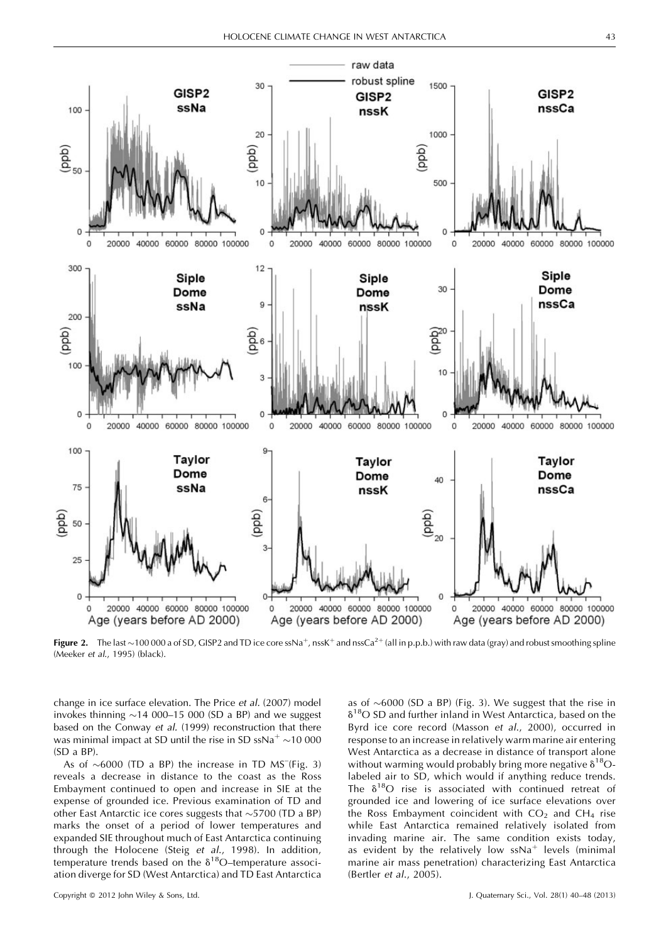

Figure 2. The last ~100 000 a of SD, GISP2 and TD ice core ssNa<sup>+</sup>, nssK<sup>+</sup> and nssCa<sup>2+</sup> (all in p.p.b.) with raw data (gray) and robust smoothing spline (Meeker et al., 1995) (black).

change in ice surface elevation. The Price et al. (2007) model invokes thinning  $\sim$  14 000–15 000 (SD a BP) and we suggest based on the Conway et al. (1999) reconstruction that there was minimal impact at SD until the rise in SD ssNa<sup>+</sup>  $\sim$ 10 000 (SD a BP).

As of  $\sim$  6000 (TD a BP) the increase in TD MS<sup>-</sup>(Fig. 3) reveals a decrease in distance to the coast as the Ross Embayment continued to open and increase in SIE at the expense of grounded ice. Previous examination of TD and other East Antarctic ice cores suggests that  $\sim$  5700 (TD a BP) marks the onset of a period of lower temperatures and expanded SIE throughout much of East Antarctica continuing through the Holocene (Steig et al., 1998). In addition, temperature trends based on the  $\delta^{18}$ O-temperature association diverge for SD (West Antarctica) and TD East Antarctica

as of  $\sim$  6000 (SD a BP) (Fig. 3). We suggest that the rise in  $\delta^{18}$ O SD and further inland in West Antarctica, based on the Byrd ice core record (Masson et al., 2000), occurred in response to an increase in relatively warm marine air entering West Antarctica as a decrease in distance of transport alone without warming would probably bring more negative  $\delta^{18}O$ labeled air to SD, which would if anything reduce trends. The  $\delta^{18}O$  rise is associated with continued retreat of grounded ice and lowering of ice surface elevations over the Ross Embayment coincident with  $CO<sub>2</sub>$  and  $CH<sub>4</sub>$  rise while East Antarctica remained relatively isolated from invading marine air. The same condition exists today, as evident by the relatively low  $ssNa<sup>+</sup>$  levels (minimal marine air mass penetration) characterizing East Antarctica (Bertler et al., 2005).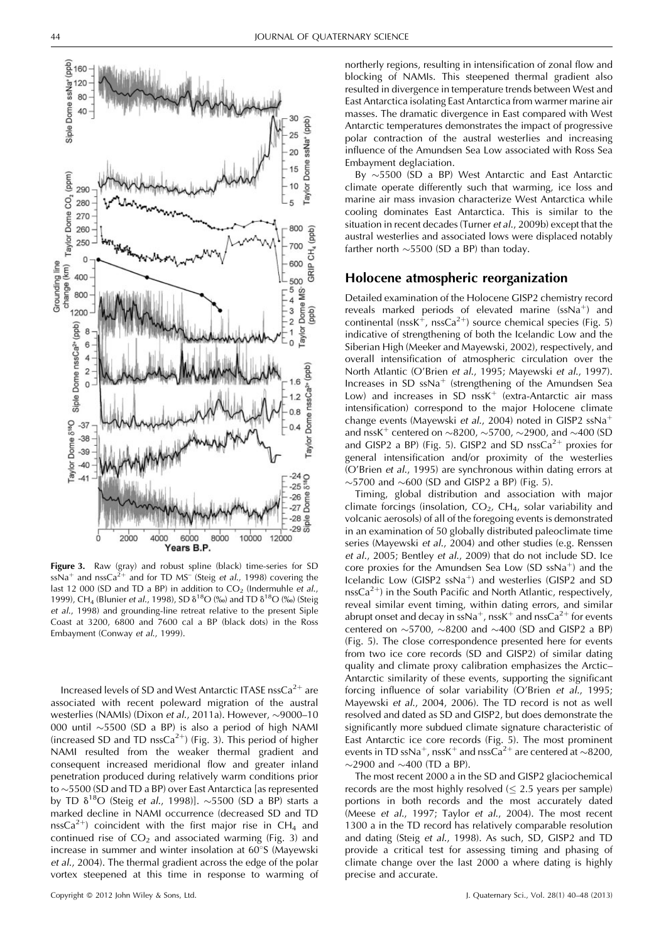

Figure 3. Raw (gray) and robust spline (black) time-series for SD  $ssNa<sup>+</sup>$  and nssCa<sup>2+</sup> and for TD MS<sup>-</sup> (Steig et al., 1998) covering the last 12 000 (SD and TD a BP) in addition to  $CO<sub>2</sub>$  (Indermuhle et al., 1999), CH<sub>4</sub> (Blunier *et al.*, 1998), SD  $\delta^{18}O$  (‰) and TD  $\delta^{18}O$  (‰) (Steig et al., 1998) and grounding-line retreat relative to the present Siple Coast at 3200, 6800 and 7600 cal a BP (black dots) in the Ross Embayment (Conway et al., 1999).

Increased levels of SD and West Antarctic ITASE nss $Ca^{2+}$  are associated with recent poleward migration of the austral westerlies (NAMIs) (Dixon et al., 2011a). However,  $\sim$ 9000–10 000 until  $\sim$ 5500 (SD a BP) is also a period of high NAMI (increased SD and TD nss $Ca^{2+}$ ) (Fig. 3). This period of higher NAMI resulted from the weaker thermal gradient and consequent increased meridional flow and greater inland penetration produced during relatively warm conditions prior to  $\sim$  5500 (SD and TD a BP) over East Antarctica [as represented by TD  $\delta^{18}$ O (Steig *et al.*, 1998)]. ~5500 (SD a BP) starts a marked decline in NAMI occurrence (decreased SD and TD nssCa<sup>2+</sup>) coincident with the first major rise in CH<sub>4</sub> and continued rise of  $CO<sub>2</sub>$  and associated warming (Fig. 3) and increase in summer and winter insolation at  $60^{\circ}$ S (Mayewski et al., 2004). The thermal gradient across the edge of the polar vortex steepened at this time in response to warming of northerly regions, resulting in intensification of zonal flow and blocking of NAMIs. This steepened thermal gradient also resulted in divergence in temperature trends between West and East Antarctica isolating East Antarctica from warmer marine air masses. The dramatic divergence in East compared with West Antarctic temperatures demonstrates the impact of progressive polar contraction of the austral westerlies and increasing influence of the Amundsen Sea Low associated with Ross Sea Embayment deglaciation.

By  $\sim$ 5500 (SD a BP) West Antarctic and East Antarctic climate operate differently such that warming, ice loss and marine air mass invasion characterize West Antarctica while cooling dominates East Antarctica. This is similar to the situation in recent decades (Turner et al., 2009b) except that the austral westerlies and associated lows were displaced notably farther north  $\sim$  5500 (SD a BP) than today.

### Holocene atmospheric reorganization

Detailed examination of the Holocene GISP2 chemistry record reveals marked periods of elevated marine ( $ssNa<sup>+</sup>$ ) and continental (nssK<sup>+</sup>, nssCa<sup>2+</sup>) source chemical species (Fig. 5) indicative of strengthening of both the Icelandic Low and the Siberian High (Meeker and Mayewski, 2002), respectively, and overall intensification of atmospheric circulation over the North Atlantic (O'Brien et al., 1995; Mayewski et al., 1997). Increases in SD  $ssNa<sup>+</sup>$  (strengthening of the Amundsen Sea Low) and increases in SD nss $K^+$  (extra-Antarctic air mass intensification) correspond to the major Holocene climate change events (Mayewski et al., 2004) noted in GISP2  $ssNa<sup>+</sup>$ and nssK<sup>+</sup> centered on  $\sim$ 8200,  $\sim$ 5700,  $\sim$ 2900, and  $\sim$ 400 (SD and GISP2 a BP) (Fig. 5). GISP2 and SD nss $Ca^{2+}$  proxies for general intensification and/or proximity of the westerlies (O'Brien et al., 1995) are synchronous within dating errors at  $\sim$ 5700 and  $\sim$ 600 (SD and GISP2 a BP) (Fig. 5).

Timing, global distribution and association with major climate forcings (insolation,  $CO<sub>2</sub>$ ,  $CH<sub>4</sub>$ , solar variability and volcanic aerosols) of all of the foregoing events is demonstrated in an examination of 50 globally distributed paleoclimate time series (Mayewski et al., 2004) and other studies (e.g. Renssen et al., 2005; Bentley et al., 2009) that do not include SD. Ice core proxies for the Amundsen Sea Low (SD  $ssNa^{+}$ ) and the Icelandic Low (GISP2  $ssNa^{+}$ ) and westerlies (GISP2 and SD nssCa<sup>2+</sup>) in the South Pacific and North Atlantic, respectively, reveal similar event timing, within dating errors, and similar abrupt onset and decay in ssNa<sup>+</sup>, nssK<sup>+</sup> and nssCa<sup>2+</sup> for events centered on  $\sim$  5700,  $\sim$  8200 and  $\sim$  400 (SD and GISP2 a BP) (Fig. 5). The close correspondence presented here for events from two ice core records (SD and GISP2) of similar dating quality and climate proxy calibration emphasizes the Arctic– Antarctic similarity of these events, supporting the significant forcing influence of solar variability (O'Brien et al., 1995; Mayewski et al., 2004, 2006). The TD record is not as well resolved and dated as SD and GISP2, but does demonstrate the significantly more subdued climate signature characteristic of East Antarctic ice core records (Fig. 5). The most prominent events in TD ssNa<sup>+</sup>, nssK<sup>+</sup> and nssCa<sup>2+</sup> are centered at  $\sim$ 8200,  $\sim$ 2900 and  $\sim$ 400 (TD a BP).

The most recent 2000 a in the SD and GISP2 glaciochemical records are the most highly resolved  $(< 2.5$  years per sample) portions in both records and the most accurately dated (Meese et al., 1997; Taylor et al., 2004). The most recent 1300 a in the TD record has relatively comparable resolution and dating (Steig et al., 1998). As such, SD, GISP2 and TD provide a critical test for assessing timing and phasing of climate change over the last 2000 a where dating is highly precise and accurate.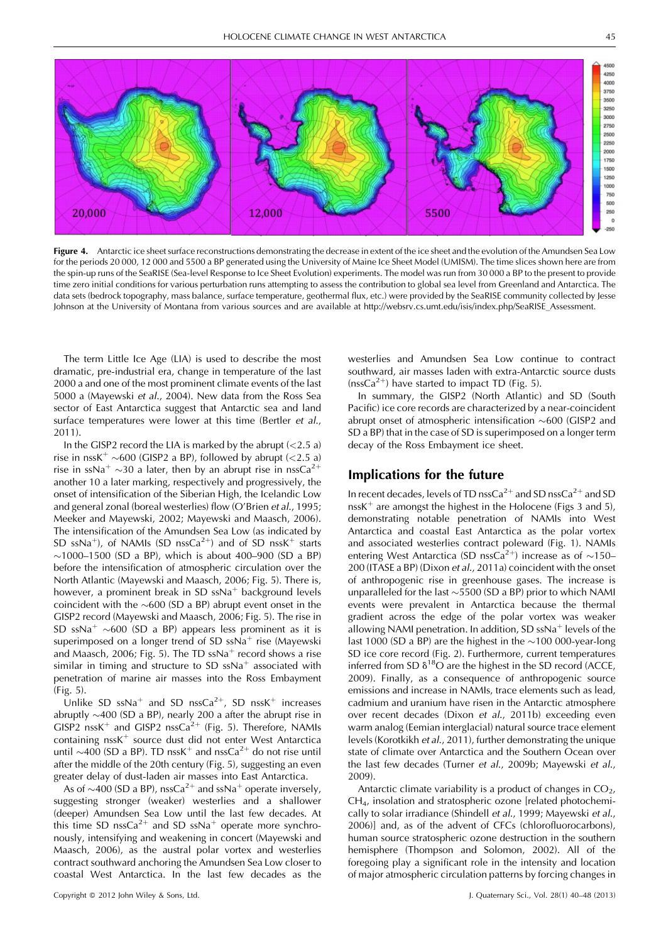

Figure 4. Antarctic ice sheet surface reconstructions demonstrating the decrease in extent of the ice sheet and the evolution of the Amundsen Sea Low for the periods 20 000, 12 000 and 5500 a BP generated using the University of Maine Ice Sheet Model (UMISM). The time slices shown here are from the spin-up runs of the SeaRISE (Sea-level Response to Ice Sheet Evolution) experiments. The model was run from 30 000 a BP to the present to provide time zero initial conditions for various perturbation runs attempting to assess the contribution to global sea level from Greenland and Antarctica. The data sets (bedrock topography, mass balance, surface temperature, geothermal flux, etc.) were provided by the SeaRISE community collected by Jesse Johnson at the University of Montana from various sources and are available at http://websrv.cs.umt.edu/isis/index.php/SeaRISE\_Assessment.

The term Little Ice Age (LIA) is used to describe the most dramatic, pre-industrial era, change in temperature of the last 2000 a and one of the most prominent climate events of the last 5000 a (Mayewski et al., 2004). New data from the Ross Sea sector of East Antarctica suggest that Antarctic sea and land surface temperatures were lower at this time (Bertler et al., 2011).

In the GISP2 record the LIA is marked by the abrupt  $\left($  < 2.5 a) rise in nssK<sup>+</sup>  $\sim$  600 (GISP2 a BP), followed by abrupt (<2.5 a) rise in ssNa<sup>+</sup>  $\sim$ 30 a later, then by an abrupt rise in nssCa<sup>2+</sup> another 10 a later marking, respectively and progressively, the onset of intensification of the Siberian High, the Icelandic Low and general zonal (boreal westerlies) flow (O'Brien et al., 1995; Meeker and Mayewski, 2002; Mayewski and Maasch, 2006). The intensification of the Amundsen Sea Low (as indicated by SD ssNa<sup>+</sup>), of NAMIs (SD nssCa<sup>2+</sup>) and of SD nssK<sup>+</sup> starts  $\sim$ 1000–1500 (SD a BP), which is about 400–900 (SD a BP) before the intensification of atmospheric circulation over the North Atlantic (Mayewski and Maasch, 2006; Fig. 5). There is, however, a prominent break in SD  $ssNa<sup>+</sup>$  background levels coincident with the  $\sim$  600 (SD a BP) abrupt event onset in the GISP2 record (Mayewski and Maasch, 2006; Fig. 5). The rise in SD ssNa<sup>+</sup>  $\sim$  600 (SD a BP) appears less prominent as it is superimposed on a longer trend of SD  $ssNa<sup>+</sup>$  rise (Mayewski and Maasch, 2006; Fig. 5). The TD  $ssNa<sup>+</sup>$  record shows a rise similar in timing and structure to SD  $ssNa<sup>+</sup>$  associated with penetration of marine air masses into the Ross Embayment (Fig. 5).

Unlike SD ssNa<sup>+</sup> and SD nssCa<sup>2+</sup>, SD nssK<sup>+</sup> increases abruptly  $\sim$ 400 (SD a BP), nearly 200 a after the abrupt rise in GISP2 nssK<sup>+</sup> and GISP2 nssCa<sup>2+</sup> (Fig. 5). Therefore, NAMIs containing  $nssK<sup>+</sup>$  source dust did not enter West Antarctica until  $\sim$ 400 (SD a BP). TD nssK<sup>+</sup> and nssCa<sup>2+</sup> do not rise until after the middle of the 20th century (Fig. 5), suggesting an even greater delay of dust-laden air masses into East Antarctica.

As of  $\sim$ 400 (SD a BP), nssCa<sup>2+</sup> and ssNa<sup>+</sup> operate inversely, suggesting stronger (weaker) westerlies and a shallower (deeper) Amundsen Sea Low until the last few decades. At this time SD nssCa<sup>2+</sup> and SD ssNa<sup>+</sup> operate more synchronously, intensifying and weakening in concert (Mayewski and Maasch, 2006), as the austral polar vortex and westerlies contract southward anchoring the Amundsen Sea Low closer to coastal West Antarctica. In the last few decades as the

westerlies and Amundsen Sea Low continue to contract southward, air masses laden with extra-Antarctic source dusts ( $nssCa<sup>2+</sup>$ ) have started to impact TD (Fig. 5).

In summary, the GISP2 (North Atlantic) and SD (South Pacific) ice core records are characterized by a near-coincident abrupt onset of atmospheric intensification  $\sim$  600 (GISP2 and SD a BP) that in the case of SD is superimposed on a longer term decay of the Ross Embayment ice sheet.

# Implications for the future

In recent decades, levels of TD nssCa<sup>2+</sup> and SD nssCa<sup>2+</sup> and SD nss $K^+$  are amongst the highest in the Holocene (Figs 3 and 5), demonstrating notable penetration of NAMIs into West Antarctica and coastal East Antarctica as the polar vortex and associated westerlies contract poleward (Fig. 1). NAMIs entering West Antarctica (SD nssCa<sup>2+</sup>) increase as of  $\sim$ 150– 200 (ITASE a BP) (Dixon et al., 2011a) coincident with the onset of anthropogenic rise in greenhouse gases. The increase is unparalleled for the last  $\sim$  5500 (SD a BP) prior to which NAMI events were prevalent in Antarctica because the thermal gradient across the edge of the polar vortex was weaker allowing NAMI penetration. In addition, SD  $ssNa<sup>+</sup>$  levels of the last 1000 (SD a BP) are the highest in the  $\sim$ 100 000-year-long SD ice core record (Fig. 2). Furthermore, current temperatures inferred from SD  $\delta^{18}O$  are the highest in the SD record (ACCE, 2009). Finally, as a consequence of anthropogenic source emissions and increase in NAMIs, trace elements such as lead, cadmium and uranium have risen in the Antarctic atmosphere over recent decades (Dixon et al., 2011b) exceeding even warm analog (Eemian interglacial) natural source trace element levels (Korotkikh et al., 2011), further demonstrating the unique state of climate over Antarctica and the Southern Ocean over the last few decades (Turner et al., 2009b; Mayewski et al., 2009).

Antarctic climate variability is a product of changes in  $CO<sub>2</sub>$ , CH4, insolation and stratospheric ozone [related photochemically to solar irradiance (Shindell et al., 1999; Mayewski et al., 2006)] and, as of the advent of CFCs (chlorofluorocarbons), human source stratospheric ozone destruction in the southern hemisphere (Thompson and Solomon, 2002). All of the foregoing play a significant role in the intensity and location of major atmospheric circulation patterns by forcing changes in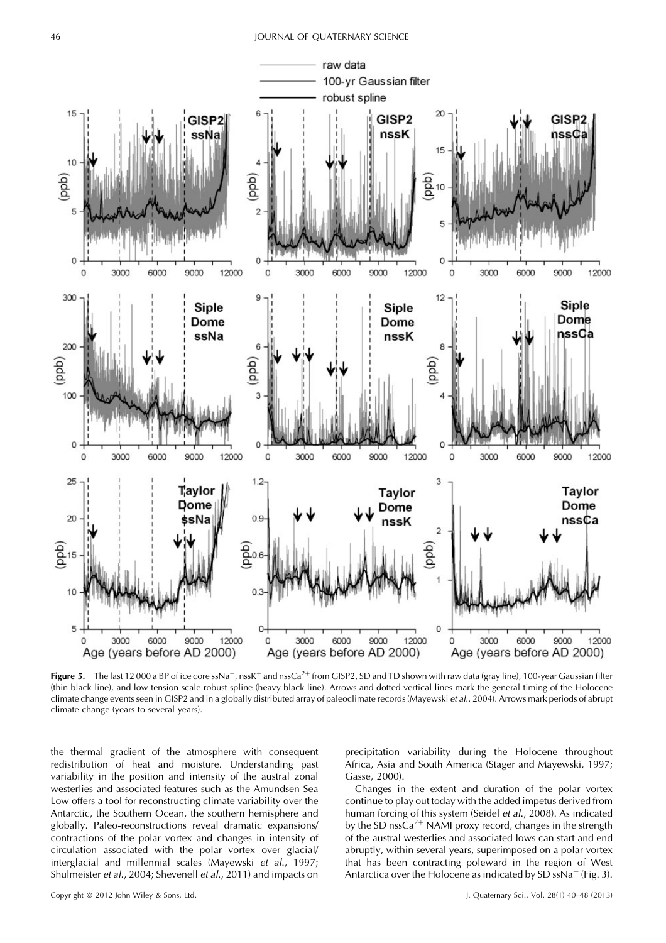

**Figure 5.** The last 12000 a BP of ice core ssNa<sup>+</sup>, nssK<sup>+</sup> and nssCa<sup>2+</sup> from GISP2, SD and TD shown with raw data (gray line), 100-year Gaussian filter (thin black line), and low tension scale robust spline (heavy black line). Arrows and dotted vertical lines mark the general timing of the Holocene climate change events seen in GISP2 and in a globally distributed array of paleoclimate records (Mayewski et al., 2004). Arrows mark periods of abrupt climate change (years to several years).

the thermal gradient of the atmosphere with consequent redistribution of heat and moisture. Understanding past variability in the position and intensity of the austral zonal westerlies and associated features such as the Amundsen Sea Low offers a tool for reconstructing climate variability over the Antarctic, the Southern Ocean, the southern hemisphere and globally. Paleo-reconstructions reveal dramatic expansions/ contractions of the polar vortex and changes in intensity of circulation associated with the polar vortex over glacial/ interglacial and millennial scales (Mayewski et al., 1997; Shulmeister et al., 2004; Shevenell et al., 2011) and impacts on precipitation variability during the Holocene throughout Africa, Asia and South America (Stager and Mayewski, 1997; Gasse, 2000).

Changes in the extent and duration of the polar vortex continue to play out today with the added impetus derived from human forcing of this system (Seidel et al., 2008). As indicated by the SD nssCa<sup>2+</sup> NAMI proxy record, changes in the strength of the austral westerlies and associated lows can start and end abruptly, within several years, superimposed on a polar vortex that has been contracting poleward in the region of West Antarctica over the Holocene as indicated by SD ssNa<sup>+</sup> (Fig. 3).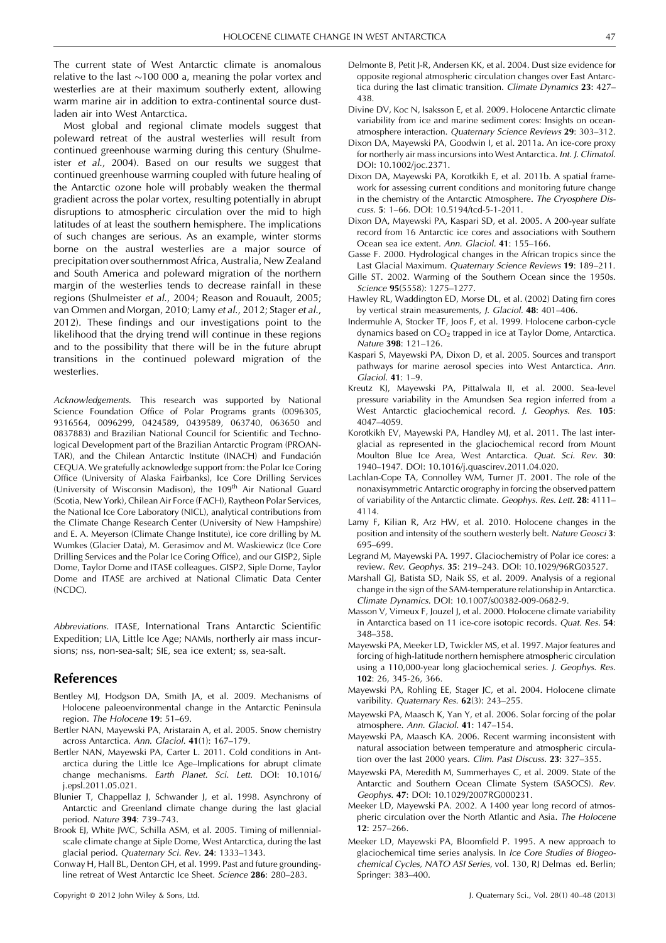The current state of West Antarctic climate is anomalous relative to the last  $\sim$ 100 000 a, meaning the polar vortex and westerlies are at their maximum southerly extent, allowing warm marine air in addition to extra-continental source dustladen air into West Antarctica.

Most global and regional climate models suggest that poleward retreat of the austral westerlies will result from continued greenhouse warming during this century (Shulmeister et al., 2004). Based on our results we suggest that continued greenhouse warming coupled with future healing of the Antarctic ozone hole will probably weaken the thermal gradient across the polar vortex, resulting potentially in abrupt disruptions to atmospheric circulation over the mid to high latitudes of at least the southern hemisphere. The implications of such changes are serious. As an example, winter storms borne on the austral westerlies are a major source of precipitation over southernmost Africa, Australia, New Zealand and South America and poleward migration of the northern margin of the westerlies tends to decrease rainfall in these regions (Shulmeister et al., 2004; Reason and Rouault, 2005; van Ommen and Morgan, 2010; Lamy et al., 2012; Stager et al., 2012). These findings and our investigations point to the likelihood that the drying trend will continue in these regions and to the possibility that there will be in the future abrupt transitions in the continued poleward migration of the westerlies.

Acknowledgements. This research was supported by National Science Foundation Office of Polar Programs grants (0096305, 9316564, 0096299, 0424589, 0439589, 063740, 063650 and 0837883) and Brazilian National Council for Scientific and Technological Development part of the Brazilian Antarctic Program (PROAN-TAR), and the Chilean Antarctic Institute (INACH) and Fundación CEQUA. We gratefully acknowledge support from: the Polar Ice Coring Office (University of Alaska Fairbanks), Ice Core Drilling Services (University of Wisconsin Madison), the 109<sup>th</sup> Air National Guard (Scotia, New York), Chilean Air Force (FACH), Raytheon Polar Services, the National Ice Core Laboratory (NICL), analytical contributions from the Climate Change Research Center (University of New Hampshire) and E. A. Meyerson (Climate Change Institute), ice core drilling by M. Wumkes (Glacier Data), M. Gerasimov and M. Waskiewicz (Ice Core Drilling Services and the Polar Ice Coring Office), and our GISP2, Siple Dome, Taylor Dome and ITASE colleagues. GISP2, Siple Dome, Taylor Dome and ITASE are archived at National Climatic Data Center (NCDC).

Abbreviations. ITASE, International Trans Antarctic Scientific Expedition; LIA, Little Ice Age; NAMIs, northerly air mass incursions; nss, non-sea-salt; SIE, sea ice extent; ss, sea-salt.

## References

- Bentley MJ, Hodgson DA, Smith JA, et al. 2009. Mechanisms of Holocene paleoenvironmental change in the Antarctic Peninsula region. The Holocene 19: 51–69.
- Bertler NAN, Mayewski PA, Aristarain A, et al. 2005. Snow chemistry across Antarctica. Ann. Glaciol. 41(1): 167–179.
- Bertler NAN, Mayewski PA, Carter L. 2011. Cold conditions in Antarctica during the Little Ice Age–Implications for abrupt climate change mechanisms. Earth Planet. Sci. Lett. DOI: 10.1016/ j.epsl.2011.05.021.
- Blunier T, Chappellaz J, Schwander J, et al. 1998. Asynchrony of Antarctic and Greenland climate change during the last glacial period. Nature 394: 739–743.
- Brook EJ, White JWC, Schilla ASM, et al. 2005. Timing of millennialscale climate change at Siple Dome, West Antarctica, during the last glacial period. Quaternary Sci. Rev. 24: 1333–1343.
- Conway H, Hall BL, Denton GH, et al. 1999. Past and future groundingline retreat of West Antarctic Ice Sheet. Science 286: 280–283.
- Delmonte B, Petit J-R, Andersen KK, et al. 2004. Dust size evidence for opposite regional atmospheric circulation changes over East Antarctica during the last climatic transition. Climate Dynamics 23: 427– 438.
- Divine DV, Koc N, Isaksson E, et al. 2009. Holocene Antarctic climate variability from ice and marine sediment cores: Insights on oceanatmosphere interaction. Quaternary Science Reviews 29: 303–312.
- Dixon DA, Mayewski PA, Goodwin I, et al. 2011a. An ice-core proxy for northerly air mass incursions into West Antarctica. Int. J. Climatol. DOI: 10.1002/joc.2371.
- Dixon DA, Mayewski PA, Korotkikh E, et al. 2011b. A spatial framework for assessing current conditions and monitoring future change in the chemistry of the Antarctic Atmosphere. The Cryosphere Discuss. 5: 1–66. DOI: 10.5194/tcd-5-1-2011.
- Dixon DA, Mayewski PA, Kaspari SD, et al. 2005. A 200-year sulfate record from 16 Antarctic ice cores and associations with Southern Ocean sea ice extent. Ann. Glaciol. 41: 155–166.
- Gasse F. 2000. Hydrological changes in the African tropics since the Last Glacial Maximum. Quaternary Science Reviews 19: 189–211.
- Gille ST. 2002. Warming of the Southern Ocean since the 1950s. Science 95(5558): 1275–1277.
- Hawley RL, Waddington ED, Morse DL, et al. (2002) Dating firn cores by vertical strain measurements, J. Glaciol. 48: 401–406.
- Indermuhle A, Stocker TF, Joos F, et al. 1999. Holocene carbon-cycle dynamics based on  $CO<sub>2</sub>$  trapped in ice at Taylor Dome, Antarctica. Nature 398: 121–126.
- Kaspari S, Mayewski PA, Dixon D, et al. 2005. Sources and transport pathways for marine aerosol species into West Antarctica. Ann. Glaciol. 41: 1–9.
- Kreutz KJ, Mayewski PA, Pittalwala II, et al. 2000. Sea-level pressure variability in the Amundsen Sea region inferred from a West Antarctic glaciochemical record. J. Geophys. Res. 105: 4047–4059.
- Korotkikh EV, Mayewski PA, Handley MJ, et al. 2011. The last interglacial as represented in the glaciochemical record from Mount Moulton Blue Ice Area, West Antarctica. Quat. Sci. Rev. 30: 1940–1947. DOI: 10.1016/j.quascirev.2011.04.020.
- Lachlan-Cope TA, Connolley WM, Turner JT. 2001. The role of the nonaxisymmetric Antarctic orography in forcing the observed pattern of variability of the Antarctic climate. Geophys. Res. Lett. 28: 4111– 4114.
- Lamy F, Kilian R, Arz HW, et al. 2010. Holocene changes in the position and intensity of the southern westerly belt. Nature Geosci 3: 695–699.
- Legrand M, Mayewski PA. 1997. Glaciochemistry of Polar ice cores: a review. Rev. Geophys. 35: 219–243. DOI: 10.1029/96RG03527.
- Marshall GJ, Batista SD, Naik SS, et al. 2009. Analysis of a regional change in the sign of the SAM-temperature relationship in Antarctica. Climate Dynamics. DOI: 10.1007/s00382-009-0682-9.
- Masson V, Vimeux F, Jouzel J, et al. 2000. Holocene climate variability in Antarctica based on 11 ice-core isotopic records. Quat. Res. 54: 348–358.
- Mayewski PA, Meeker LD, Twickler MS, et al. 1997. Major features and forcing of high-latitude northern hemisphere atmospheric circulation using a 110,000-year long glaciochemical series. J. Geophys. Res. 102: 26, 345-26, 366.
- Mayewski PA, Rohling EE, Stager JC, et al. 2004. Holocene climate varibility. Quaternary Res. 62(3): 243-255.
- Mayewski PA, Maasch K, Yan Y, et al. 2006. Solar forcing of the polar atmosphere. Ann. Glaciol. 41: 147–154.
- Mayewski PA, Maasch KA. 2006. Recent warming inconsistent with natural association between temperature and atmospheric circulation over the last 2000 years. Clim. Past Discuss. 23: 327–355.
- Mayewski PA, Meredith M, Summerhayes C, et al. 2009. State of the Antarctic and Southern Ocean Climate System (SASOCS). Rev. Geophys. 47: DOI: 10.1029/2007RG000231.
- Meeker LD, Mayewski PA. 2002. A 1400 year long record of atmospheric circulation over the North Atlantic and Asia. The Holocene 12: 257–266.
- Meeker LD, Mayewski PA, Bloomfield P. 1995. A new approach to glaciochemical time series analysis. In Ice Core Studies of Biogeochemical Cycles, NATO ASI Series, vol. 130, RJ Delmas ed. Berlin; Springer: 383–400.